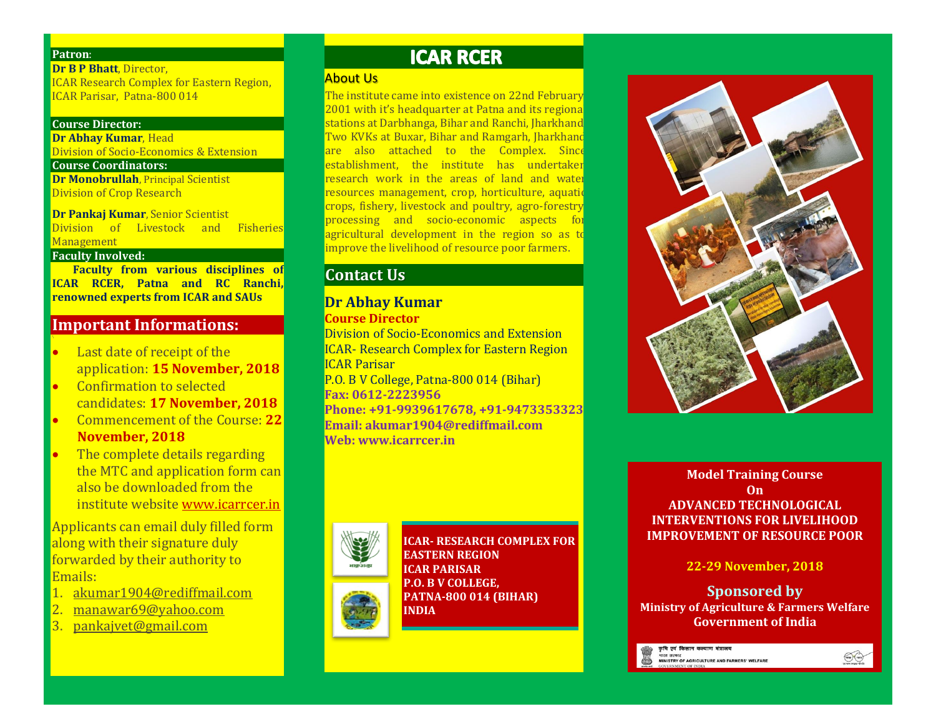#### **Patron**:

**Dr B P Bhatt**, Director, ICAR Research Complex for Eastern Region, ICAR Parisar, Patna-800 014

#### **Course Director:**

**Dr Abhay Kumar**, Head Division of Socio-Economics & Extension

#### **Course Coordinators:**

**Dr Monobrullah**, Principal Scientist Division of Crop Research

**Dr Pankaj Kumar**, Senior Scientist Division of Livestock and Fisheries Management

#### **Faculty Involved:**

 **Faculty from various disciplines of ICAR RCER, Patna and RC Ranchi, renowned experts from ICAR and SAUs**

### **Important Informations:**

- Last date of receipt of the application: **15 November, 2018**
- Confirmation to selected candidates: **17 November, 2018**
- Commencement of the Course: **22 November, 2018**
- The complete details regarding the MTC and application form can also be downloaded from the institute website [www.icarrcer.in](http://www.icarrcer.in/)

Applicants can email duly filled form along with their signature duly forwarded by their authority to Emails:

- 1. [akumar1904@rediffmail.com](mailto:akumar1904@rediffmail.com)
- 2. [manawar69@yahoo.com](mailto:manawar69@yahoo.com)
- 3. [pankajvet@gmail.com](mailto:pankajvet@gmail.com)

# **ICAR RCER**

### About Us

The institute came into existence on 22nd February 2001 with it's headquarter at Patna and its regiona stations at Darbhanga, Bihar and Ranchi, Jharkhand. Two KVKs at Buxar, Bihar and Ramgarh, Jharkhand are also attached to the Complex. Since establishment, the institute has undertaken research work in the areas of land and water resources management, crop, horticulture, aquatic crops, fishery, livestock and poultry, agro-forestry, processing and socio-economic aspects for agricultural development in the region so as to improve the livelihood of resource poor farmers.

# **Contact Us**

### **Dr Abhay Kumar Course Director**

Division of Socio-Economics and Extension ICAR- Research Complex for Eastern Region ICAR Parisar P.O. B V College, Patna-800 014 (Bihar) **Fax: 0612-2223956 Phone: +91-9939617678, +91-9473353323 Email: akumar1904@rediffmail.com Web: www.icarrcer.in**



**ICAR- RESEARCH COMPLEX FOR EASTERN REGION ICAR PARISAR P.O. B V COLLEGE, PATNA-800 014 (BIHAR) INDIA** 



**Model Training Course On ADVANCED TECHNOLOGICAL INTERVENTIONS FOR LIVELIHOOD IMPROVEMENT OF RESOURCE POOR**

**22-29 November, 2018**

**Sponsored by Ministry of Agriculture & Farmers Welfare Government of India**

.<br>कृषि एवं किसान कल्याण मंत्रालय ।<br>भारत सरकार<br>MINISTRY OF AGRICULTURE AND FARMERS' WELFARE